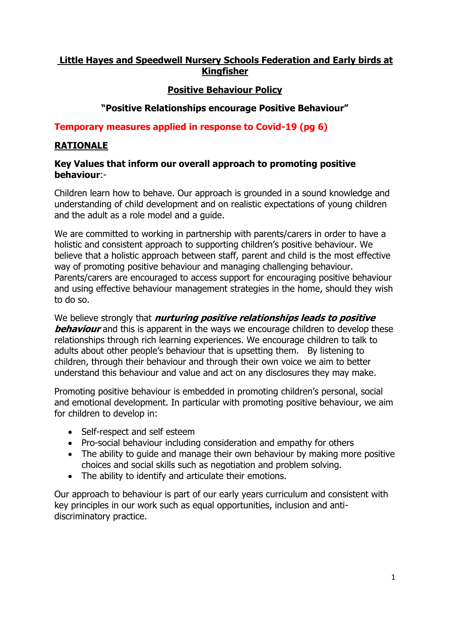## **Little Hayes and Speedwell Nursery Schools Federation and Early birds at Kingfisher**

## **Positive Behaviour Policy**

## **"Positive Relationships encourage Positive Behaviour"**

#### **Temporary measures applied in response to Covid-19 (pg 6)**

#### **RATIONALE**

#### **Key Values that inform our overall approach to promoting positive behaviour**:-

Children learn how to behave. Our approach is grounded in a sound knowledge and understanding of child development and on realistic expectations of young children and the adult as a role model and a guide.

We are committed to working in partnership with parents/carers in order to have a holistic and consistent approach to supporting children's positive behaviour. We believe that a holistic approach between staff, parent and child is the most effective way of promoting positive behaviour and managing challenging behaviour. Parents/carers are encouraged to access support for encouraging positive behaviour and using effective behaviour management strategies in the home, should they wish to do so.

We believe strongly that **nurturing positive relationships leads to positive behaviour** and this is apparent in the ways we encourage children to develop these relationships through rich learning experiences. We encourage children to talk to adults about other people's behaviour that is upsetting them. By listening to children, through their behaviour and through their own voice we aim to better understand this behaviour and value and act on any disclosures they may make.

Promoting positive behaviour is embedded in promoting children's personal, social and emotional development. In particular with promoting positive behaviour, we aim for children to develop in:

- Self-respect and self esteem
- Pro-social behaviour including consideration and empathy for others
- The ability to quide and manage their own behaviour by making more positive choices and social skills such as negotiation and problem solving.
- The ability to identify and articulate their emotions.

Our approach to behaviour is part of our early years curriculum and consistent with key principles in our work such as equal opportunities, inclusion and antidiscriminatory practice.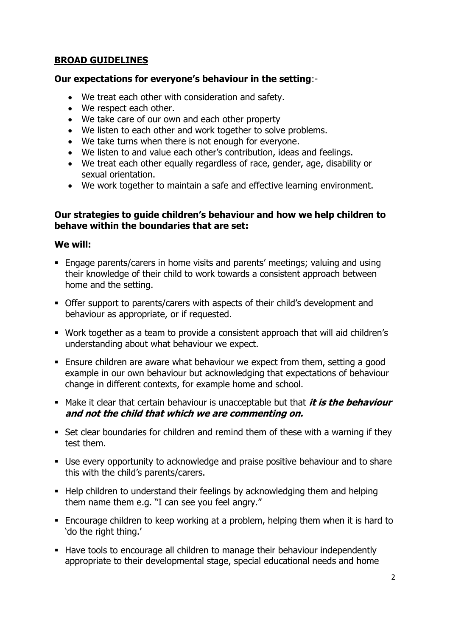## **BROAD GUIDELINES**

#### **Our expectations for everyone's behaviour in the setting**:-

- We treat each other with consideration and safety.
- We respect each other.
- We take care of our own and each other property
- We listen to each other and work together to solve problems.
- We take turns when there is not enough for everyone.
- We listen to and value each other's contribution, ideas and feelings.
- We treat each other equally regardless of race, gender, age, disability or sexual orientation.
- We work together to maintain a safe and effective learning environment.

#### **Our strategies to guide children's behaviour and how we help children to behave within the boundaries that are set:**

#### **We will:**

- Engage parents/carers in home visits and parents' meetings; valuing and using their knowledge of their child to work towards a consistent approach between home and the setting.
- Offer support to parents/carers with aspects of their child's development and behaviour as appropriate, or if requested.
- Work together as a team to provide a consistent approach that will aid children's understanding about what behaviour we expect.
- Ensure children are aware what behaviour we expect from them, setting a good example in our own behaviour but acknowledging that expectations of behaviour change in different contexts, for example home and school.
- **Make it clear that certain behaviour is unacceptable but that it is the behaviour and not the child that which we are commenting on.**
- Set clear boundaries for children and remind them of these with a warning if they test them.
- Use every opportunity to acknowledge and praise positive behaviour and to share this with the child's parents/carers.
- Help children to understand their feelings by acknowledging them and helping them name them e.g. "I can see you feel angry."
- Encourage children to keep working at a problem, helping them when it is hard to 'do the right thing.'
- Have tools to encourage all children to manage their behaviour independently appropriate to their developmental stage, special educational needs and home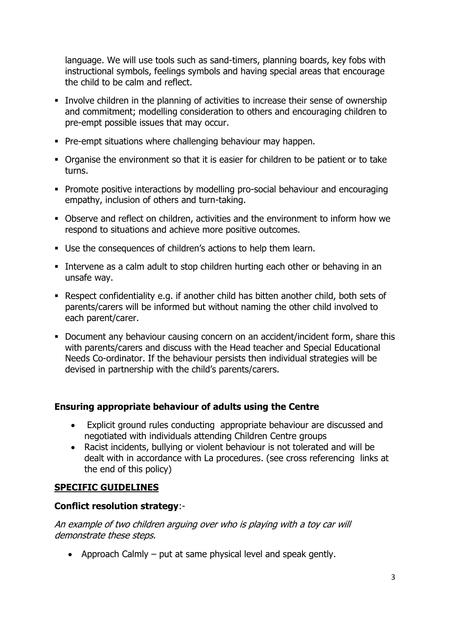language. We will use tools such as sand-timers, planning boards, key fobs with instructional symbols, feelings symbols and having special areas that encourage the child to be calm and reflect.

- Involve children in the planning of activities to increase their sense of ownership and commitment; modelling consideration to others and encouraging children to pre-empt possible issues that may occur.
- **Pre-empt situations where challenging behaviour may happen.**
- Organise the environment so that it is easier for children to be patient or to take turns.
- **Promote positive interactions by modelling pro-social behaviour and encouraging** empathy, inclusion of others and turn-taking.
- Observe and reflect on children, activities and the environment to inform how we respond to situations and achieve more positive outcomes.
- Use the consequences of children's actions to help them learn.
- **Intervene as a calm adult to stop children hurting each other or behaving in an** unsafe way.
- Respect confidentiality e.g. if another child has bitten another child, both sets of parents/carers will be informed but without naming the other child involved to each parent/carer.
- Document any behaviour causing concern on an accident/incident form, share this with parents/carers and discuss with the Head teacher and Special Educational Needs Co-ordinator. If the behaviour persists then individual strategies will be devised in partnership with the child's parents/carers.

# **Ensuring appropriate behaviour of adults using the Centre**

- Explicit ground rules conducting appropriate behaviour are discussed and negotiated with individuals attending Children Centre groups
- Racist incidents, bullying or violent behaviour is not tolerated and will be dealt with in accordance with La procedures. (see cross referencing links at the end of this policy)

# **SPECIFIC GUIDELINES**

#### **Conflict resolution strategy**:-

An example of two children arguing over who is playing with a toy car will demonstrate these steps.

• Approach Calmly  $-$  put at same physical level and speak gently.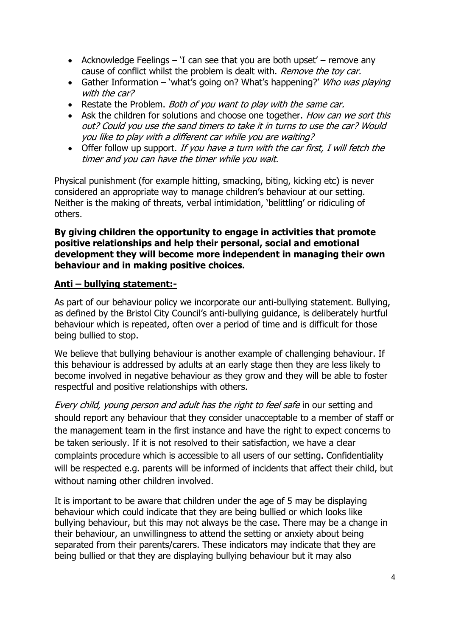- Acknowledge Feelings  $-$  'I can see that you are both upset' remove any cause of conflict whilst the problem is dealt with. Remove the toy car.
- Gather Information 'what's going on? What's happening?' Who was playing with the car?
- Restate the Problem. Both of you want to play with the same car.
- Ask the children for solutions and choose one together. How can we sort this out? Could you use the sand timers to take it in turns to use the car? Would you like to play with a different car while you are waiting?
- $\bullet$  Offer follow up support. If you have a turn with the car first, I will fetch the timer and you can have the timer while you wait.

Physical punishment (for example hitting, smacking, biting, kicking etc) is never considered an appropriate way to manage children's behaviour at our setting. Neither is the making of threats, verbal intimidation, 'belittling' or ridiculing of others.

#### **By giving children the opportunity to engage in activities that promote positive relationships and help their personal, social and emotional development they will become more independent in managing their own behaviour and in making positive choices.**

# **Anti – bullying statement:-**

As part of our behaviour policy we incorporate our anti-bullying statement. Bullying, as defined by the Bristol City Council's anti-bullying guidance, is deliberately hurtful behaviour which is repeated, often over a period of time and is difficult for those being bullied to stop.

We believe that bullying behaviour is another example of challenging behaviour. If this behaviour is addressed by adults at an early stage then they are less likely to become involved in negative behaviour as they grow and they will be able to foster respectful and positive relationships with others.

Every child, young person and adult has the right to feel safe in our setting and should report any behaviour that they consider unacceptable to a member of staff or the management team in the first instance and have the right to expect concerns to be taken seriously. If it is not resolved to their satisfaction, we have a clear complaints procedure which is accessible to all users of our setting. Confidentiality will be respected e.g. parents will be informed of incidents that affect their child, but without naming other children involved.

It is important to be aware that children under the age of 5 may be displaying behaviour which could indicate that they are being bullied or which looks like bullying behaviour, but this may not always be the case. There may be a change in their behaviour, an unwillingness to attend the setting or anxiety about being separated from their parents/carers. These indicators may indicate that they are being bullied or that they are displaying bullying behaviour but it may also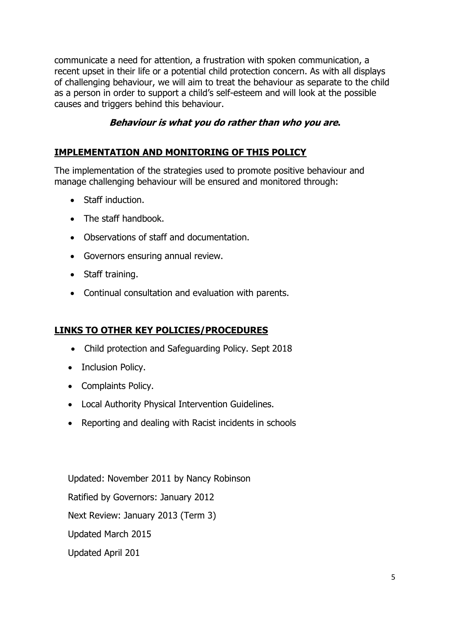communicate a need for attention, a frustration with spoken communication, a recent upset in their life or a potential child protection concern. As with all displays of challenging behaviour, we will aim to treat the behaviour as separate to the child as a person in order to support a child's self-esteem and will look at the possible causes and triggers behind this behaviour.

### **Behaviour is what you do rather than who you are.**

## **IMPLEMENTATION AND MONITORING OF THIS POLICY**

The implementation of the strategies used to promote positive behaviour and manage challenging behaviour will be ensured and monitored through:

- Staff induction.
- The staff handbook.
- Observations of staff and documentation.
- Governors ensuring annual review.
- Staff training.
- Continual consultation and evaluation with parents.

#### **LINKS TO OTHER KEY POLICIES/PROCEDURES**

- Child protection and Safeguarding Policy. Sept 2018
- Inclusion Policy.
- Complaints Policy.
- Local Authority Physical Intervention Guidelines.
- Reporting and dealing with Racist incidents in schools

Updated: November 2011 by Nancy Robinson Ratified by Governors: January 2012 Next Review: January 2013 (Term 3) Updated March 2015 Updated April 201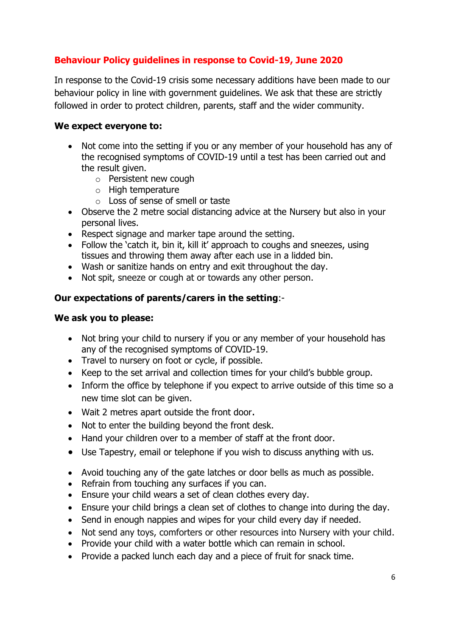# **Behaviour Policy guidelines in response to Covid-19, June 2020**

In response to the Covid-19 crisis some necessary additions have been made to our behaviour policy in line with government guidelines. We ask that these are strictly followed in order to protect children, parents, staff and the wider community.

#### **We expect everyone to:**

- Not come into the setting if you or any member of your household has any of the recognised symptoms of COVID-19 until a test has been carried out and the result given.
	- o Persistent new cough
	- o High temperature
	- o Loss of sense of smell or taste
- Observe the 2 metre social distancing advice at the Nursery but also in your personal lives.
- Respect signage and marker tape around the setting.
- Follow the 'catch it, bin it, kill it' approach to coughs and sneezes, using tissues and throwing them away after each use in a lidded bin.
- Wash or sanitize hands on entry and exit throughout the day.
- Not spit, sneeze or cough at or towards any other person.

#### **Our expectations of parents/carers in the setting**:-

#### **We ask you to please:**

- Not bring your child to nursery if you or any member of your household has any of the recognised symptoms of COVID-19.
- Travel to nursery on foot or cycle, if possible.
- Keep to the set arrival and collection times for your child's bubble group.
- Inform the office by telephone if you expect to arrive outside of this time so a new time slot can be given.
- Wait 2 metres apart outside the front door.
- Not to enter the building beyond the front desk.
- Hand your children over to a member of staff at the front door.
- Use Tapestry, email or telephone if you wish to discuss anything with us.
- Avoid touching any of the gate latches or door bells as much as possible.
- Refrain from touching any surfaces if you can.
- Ensure your child wears a set of clean clothes every day.
- Ensure your child brings a clean set of clothes to change into during the day.
- Send in enough nappies and wipes for your child every day if needed.
- Not send any toys, comforters or other resources into Nursery with your child.
- Provide your child with a water bottle which can remain in school.
- Provide a packed lunch each day and a piece of fruit for snack time.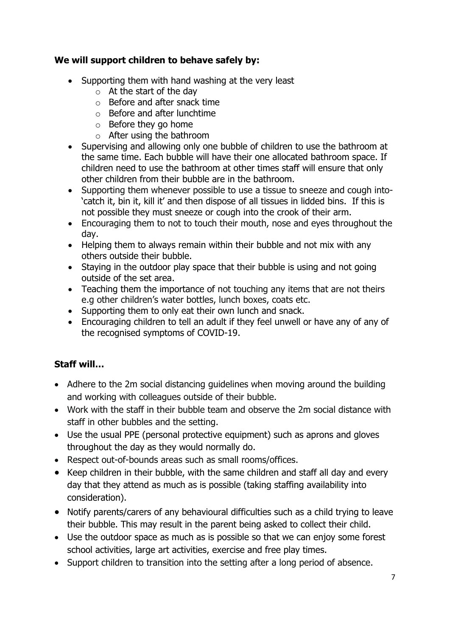# **We will support children to behave safely by:**

- Supporting them with hand washing at the very least
	- $\circ$  At the start of the day
	- o Before and after snack time
	- o Before and after lunchtime
	- o Before they go home
	- o After using the bathroom
- Supervising and allowing only one bubble of children to use the bathroom at the same time. Each bubble will have their one allocated bathroom space. If children need to use the bathroom at other times staff will ensure that only other children from their bubble are in the bathroom.
- Supporting them whenever possible to use a tissue to sneeze and cough into- 'catch it, bin it, kill it' and then dispose of all tissues in lidded bins. If this is not possible they must sneeze or cough into the crook of their arm.
- Encouraging them to not to touch their mouth, nose and eyes throughout the day.
- Helping them to always remain within their bubble and not mix with any others outside their bubble.
- Staying in the outdoor play space that their bubble is using and not going outside of the set area.
- Teaching them the importance of not touching any items that are not theirs e.g other children's water bottles, lunch boxes, coats etc.
- Supporting them to only eat their own lunch and snack.
- Encouraging children to tell an adult if they feel unwell or have any of any of the recognised symptoms of COVID-19.

# **Staff will…**

- Adhere to the 2m social distancing guidelines when moving around the building and working with colleagues outside of their bubble.
- Work with the staff in their bubble team and observe the 2m social distance with staff in other bubbles and the setting.
- Use the usual PPE (personal protective equipment) such as aprons and gloves throughout the day as they would normally do.
- Respect out-of-bounds areas such as small rooms/offices.
- Keep children in their bubble, with the same children and staff all day and every day that they attend as much as is possible (taking staffing availability into consideration).
- Notify parents/carers of any behavioural difficulties such as a child trying to leave their bubble. This may result in the parent being asked to collect their child.
- Use the outdoor space as much as is possible so that we can enjoy some forest school activities, large art activities, exercise and free play times.
- Support children to transition into the setting after a long period of absence.